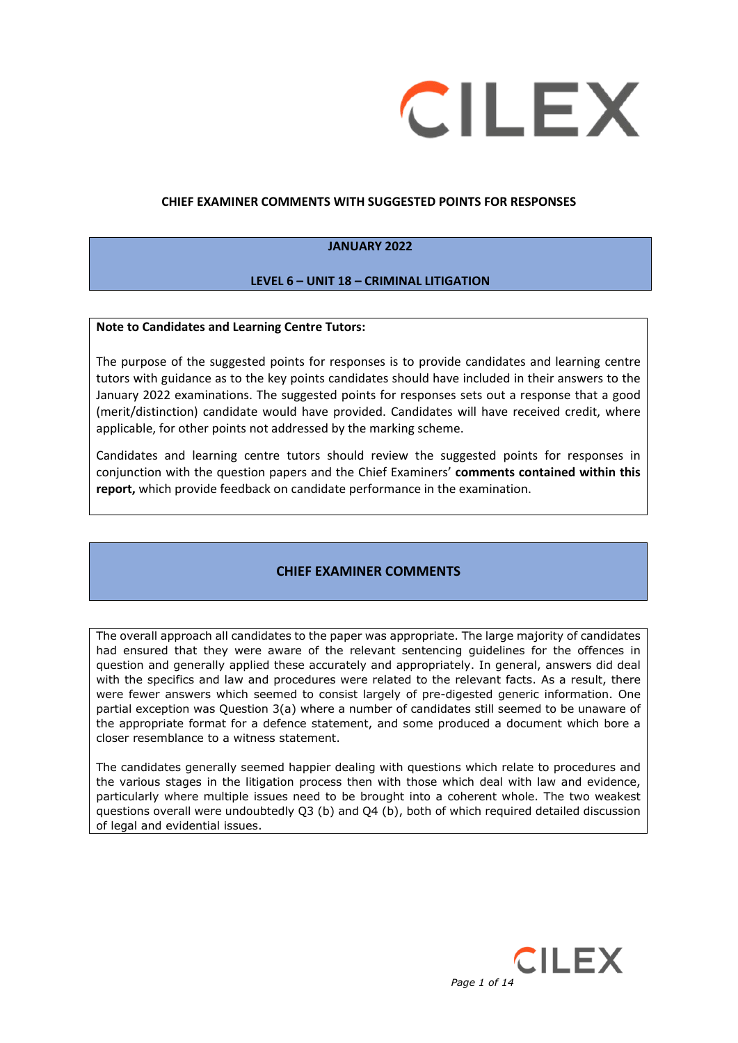

#### **CHIEF EXAMINER COMMENTS WITH SUGGESTED POINTS FOR RESPONSES**

#### **JANUARY 2022**

#### **LEVEL 6 – UNIT 18 – CRIMINAL LITIGATION**

#### **Note to Candidates and Learning Centre Tutors:**

The purpose of the suggested points for responses is to provide candidates and learning centre tutors with guidance as to the key points candidates should have included in their answers to the January 2022 examinations. The suggested points for responses sets out a response that a good (merit/distinction) candidate would have provided. Candidates will have received credit, where applicable, for other points not addressed by the marking scheme.

Candidates and learning centre tutors should review the suggested points for responses in conjunction with the question papers and the Chief Examiners' **comments contained within this report,** which provide feedback on candidate performance in the examination.

### **CHIEF EXAMINER COMMENTS**

The overall approach all candidates to the paper was appropriate. The large majority of candidates had ensured that they were aware of the relevant sentencing guidelines for the offences in question and generally applied these accurately and appropriately. In general, answers did deal with the specifics and law and procedures were related to the relevant facts. As a result, there were fewer answers which seemed to consist largely of pre-digested generic information. One partial exception was Question 3(a) where a number of candidates still seemed to be unaware of the appropriate format for a defence statement, and some produced a document which bore a closer resemblance to a witness statement.

The candidates generally seemed happier dealing with questions which relate to procedures and the various stages in the litigation process then with those which deal with law and evidence, particularly where multiple issues need to be brought into a coherent whole. The two weakest questions overall were undoubtedly Q3 (b) and Q4 (b), both of which required detailed discussion of legal and evidential issues.

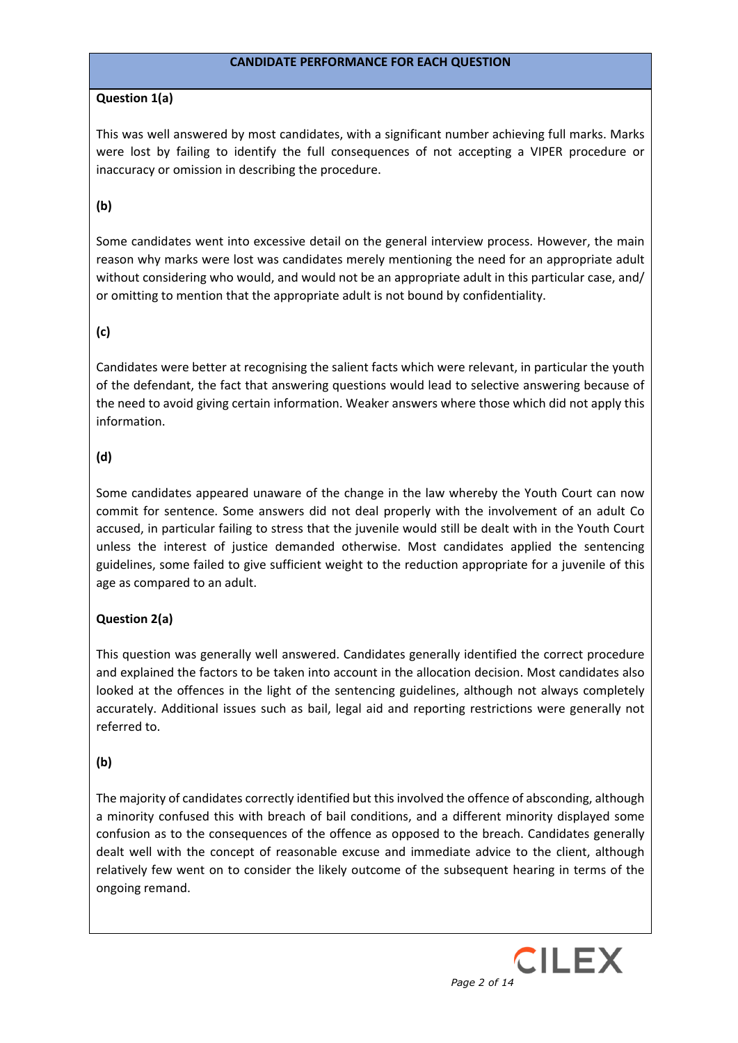### **Question 1(a)**

This was well answered by most candidates, with a significant number achieving full marks. Marks were lost by failing to identify the full consequences of not accepting a VIPER procedure or inaccuracy or omission in describing the procedure.

# **(b)**

Some candidates went into excessive detail on the general interview process. However, the main reason why marks were lost was candidates merely mentioning the need for an appropriate adult without considering who would, and would not be an appropriate adult in this particular case, and/ or omitting to mention that the appropriate adult is not bound by confidentiality.

# **(c)**

Candidates were better at recognising the salient facts which were relevant, in particular the youth of the defendant, the fact that answering questions would lead to selective answering because of the need to avoid giving certain information. Weaker answers where those which did not apply this information.

# **(d)**

Some candidates appeared unaware of the change in the law whereby the Youth Court can now commit for sentence. Some answers did not deal properly with the involvement of an adult Co accused, in particular failing to stress that the juvenile would still be dealt with in the Youth Court unless the interest of justice demanded otherwise. Most candidates applied the sentencing guidelines, some failed to give sufficient weight to the reduction appropriate for a juvenile of this age as compared to an adult.

# **Question 2(a)**

This question was generally well answered. Candidates generally identified the correct procedure and explained the factors to be taken into account in the allocation decision. Most candidates also looked at the offences in the light of the sentencing guidelines, although not always completely accurately. Additional issues such as bail, legal aid and reporting restrictions were generally not referred to.

# **(b)**

The majority of candidates correctly identified but this involved the offence of absconding, although a minority confused this with breach of bail conditions, and a different minority displayed some confusion as to the consequences of the offence as opposed to the breach. Candidates generally dealt well with the concept of reasonable excuse and immediate advice to the client, although relatively few went on to consider the likely outcome of the subsequent hearing in terms of the ongoing remand.

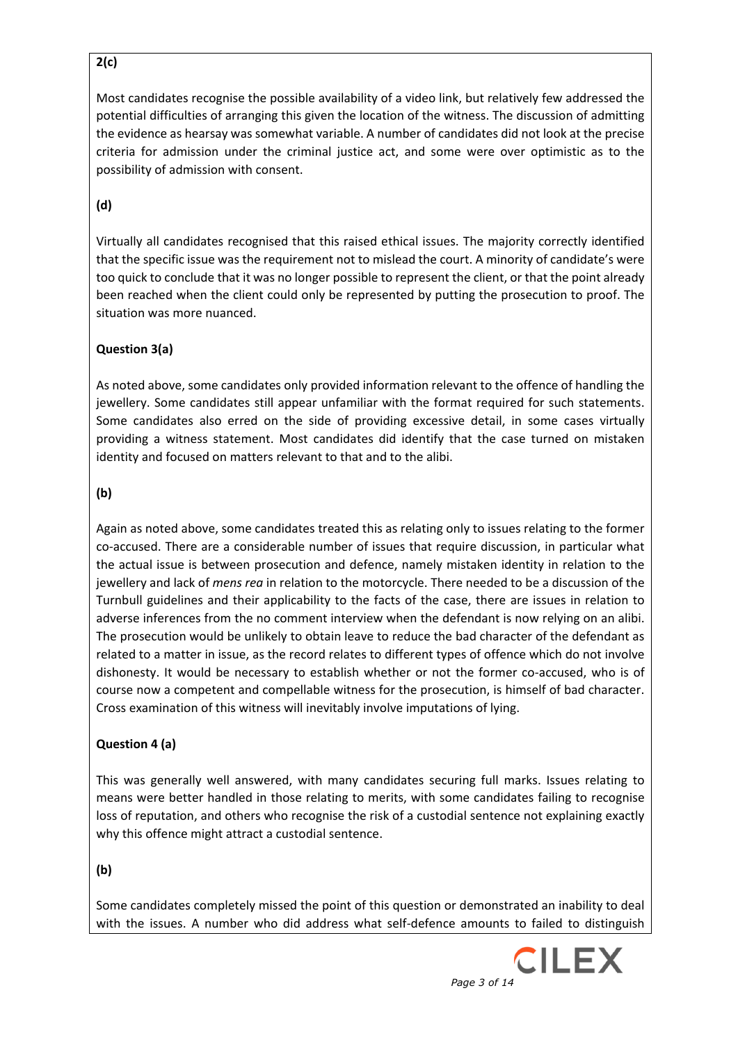# **2(c)**

Most candidates recognise the possible availability of a video link, but relatively few addressed the potential difficulties of arranging this given the location of the witness. The discussion of admitting the evidence as hearsay was somewhat variable. A number of candidates did not look at the precise criteria for admission under the criminal justice act, and some were over optimistic as to the possibility of admission with consent.

# **(d)**

Virtually all candidates recognised that this raised ethical issues. The majority correctly identified that the specific issue was the requirement not to mislead the court. A minority of candidate's were too quick to conclude that it was no longer possible to represent the client, or that the point already been reached when the client could only be represented by putting the prosecution to proof. The situation was more nuanced.

# **Question 3(a)**

As noted above, some candidates only provided information relevant to the offence of handling the jewellery. Some candidates still appear unfamiliar with the format required for such statements. Some candidates also erred on the side of providing excessive detail, in some cases virtually providing a witness statement. Most candidates did identify that the case turned on mistaken identity and focused on matters relevant to that and to the alibi.

### **(b)**

Again as noted above, some candidates treated this as relating only to issues relating to the former co-accused. There are a considerable number of issues that require discussion, in particular what the actual issue is between prosecution and defence, namely mistaken identity in relation to the jewellery and lack of *mens rea* in relation to the motorcycle. There needed to be a discussion of the Turnbull guidelines and their applicability to the facts of the case, there are issues in relation to adverse inferences from the no comment interview when the defendant is now relying on an alibi. The prosecution would be unlikely to obtain leave to reduce the bad character of the defendant as related to a matter in issue, as the record relates to different types of offence which do not involve dishonesty. It would be necessary to establish whether or not the former co-accused, who is of course now a competent and compellable witness for the prosecution, is himself of bad character. Cross examination of this witness will inevitably involve imputations of lying.

### **Question 4 (a)**

This was generally well answered, with many candidates securing full marks. Issues relating to means were better handled in those relating to merits, with some candidates failing to recognise loss of reputation, and others who recognise the risk of a custodial sentence not explaining exactly why this offence might attract a custodial sentence.

**(b)** 

Some candidates completely missed the point of this question or demonstrated an inability to deal with the issues. A number who did address what self-defence amounts to failed to distinguish

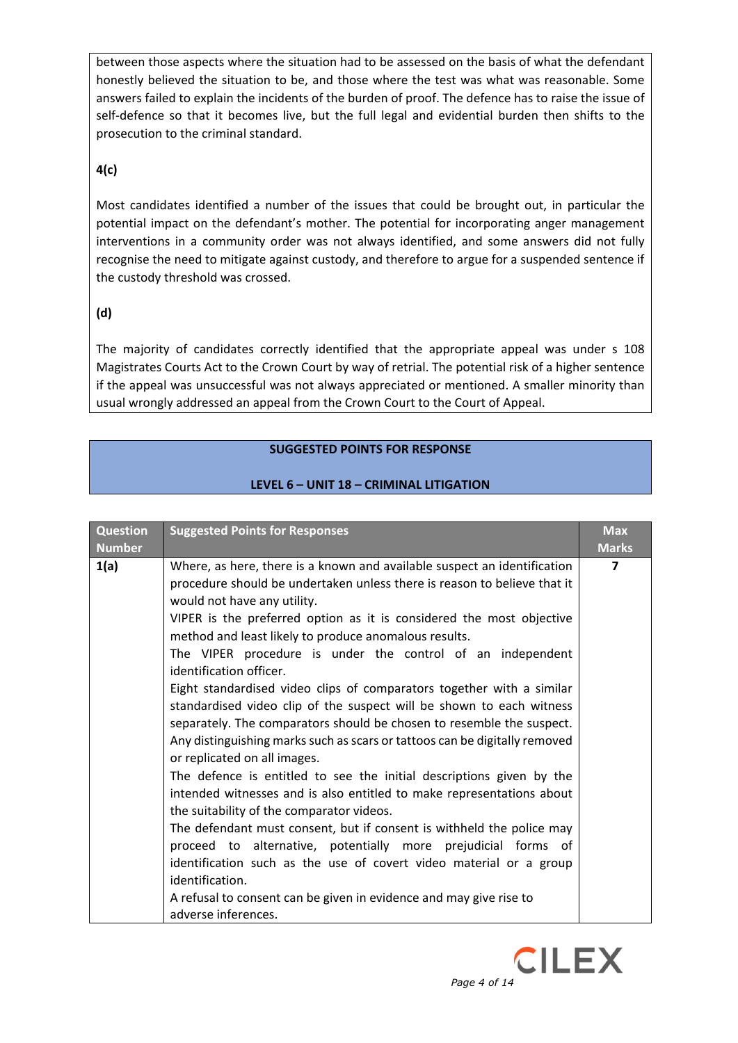between those aspects where the situation had to be assessed on the basis of what the defendant honestly believed the situation to be, and those where the test was what was reasonable. Some answers failed to explain the incidents of the burden of proof. The defence has to raise the issue of self-defence so that it becomes live, but the full legal and evidential burden then shifts to the prosecution to the criminal standard.

# **4(c)**

Most candidates identified a number of the issues that could be brought out, in particular the potential impact on the defendant's mother. The potential for incorporating anger management interventions in a community order was not always identified, and some answers did not fully recognise the need to mitigate against custody, and therefore to argue for a suspended sentence if the custody threshold was crossed.

# **(d)**

The majority of candidates correctly identified that the appropriate appeal was under s 108 Magistrates Courts Act to the Crown Court by way of retrial. The potential risk of a higher sentence if the appeal was unsuccessful was not always appreciated or mentioned. A smaller minority than usual wrongly addressed an appeal from the Crown Court to the Court of Appeal.

# **SUGGESTED POINTS FOR RESPONSE**

# **LEVEL 6 – UNIT 18 – CRIMINAL LITIGATION**

| <b>Question</b><br><b>Number</b> | <b>Suggested Points for Responses</b>                                                                                                                                                                                                                                                                                                                                                                                                                                                                                                                                                                                                                                                                                                                                                                                                                                                                                                                                                                                                                                                                                                                                                                                                                                               | <b>Max</b><br><b>Marks</b> |
|----------------------------------|-------------------------------------------------------------------------------------------------------------------------------------------------------------------------------------------------------------------------------------------------------------------------------------------------------------------------------------------------------------------------------------------------------------------------------------------------------------------------------------------------------------------------------------------------------------------------------------------------------------------------------------------------------------------------------------------------------------------------------------------------------------------------------------------------------------------------------------------------------------------------------------------------------------------------------------------------------------------------------------------------------------------------------------------------------------------------------------------------------------------------------------------------------------------------------------------------------------------------------------------------------------------------------------|----------------------------|
| 1(a)                             | Where, as here, there is a known and available suspect an identification<br>procedure should be undertaken unless there is reason to believe that it<br>would not have any utility.<br>VIPER is the preferred option as it is considered the most objective<br>method and least likely to produce anomalous results.<br>The VIPER procedure is under the control of an independent<br>identification officer.<br>Eight standardised video clips of comparators together with a similar<br>standardised video clip of the suspect will be shown to each witness<br>separately. The comparators should be chosen to resemble the suspect.<br>Any distinguishing marks such as scars or tattoos can be digitally removed<br>or replicated on all images.<br>The defence is entitled to see the initial descriptions given by the<br>intended witnesses and is also entitled to make representations about<br>the suitability of the comparator videos.<br>The defendant must consent, but if consent is withheld the police may<br>proceed to alternative, potentially more prejudicial forms of<br>identification such as the use of covert video material or a group<br>identification.<br>A refusal to consent can be given in evidence and may give rise to<br>adverse inferences. | 7                          |

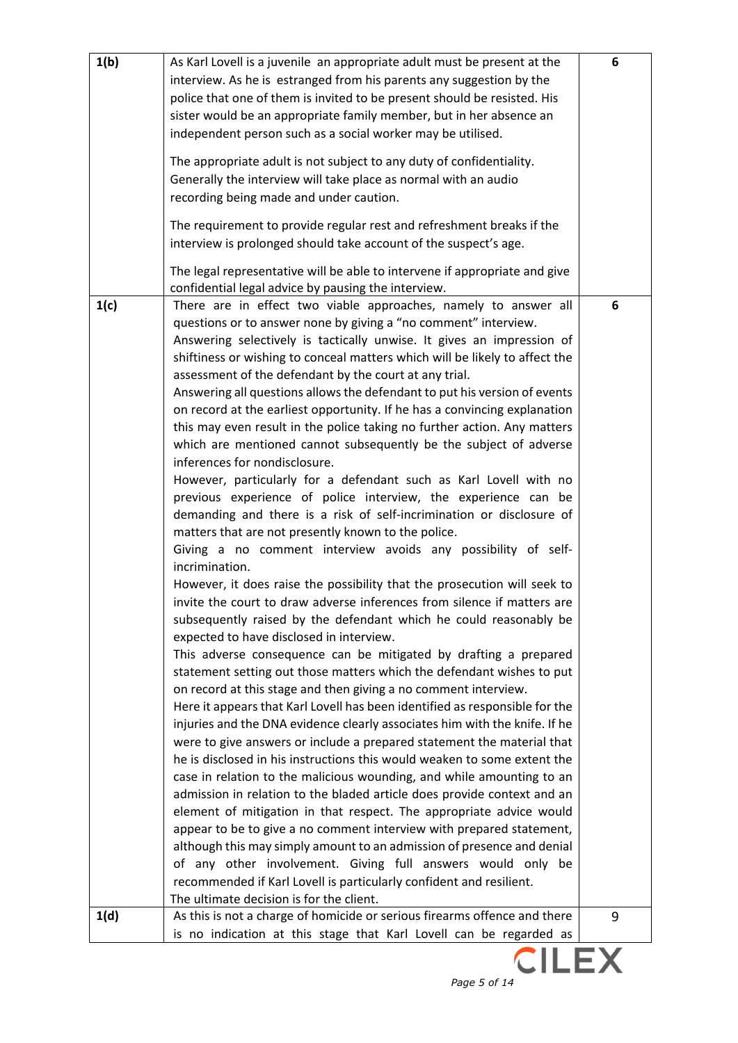|      | <b>CILEX</b>                                                                                                                                         |   |
|------|------------------------------------------------------------------------------------------------------------------------------------------------------|---|
|      | is no indication at this stage that Karl Lovell can be regarded as                                                                                   |   |
| 1(d) | As this is not a charge of homicide or serious firearms offence and there                                                                            | 9 |
|      | The ultimate decision is for the client.                                                                                                             |   |
|      | recommended if Karl Lovell is particularly confident and resilient.                                                                                  |   |
|      | of any other involvement. Giving full answers would only be                                                                                          |   |
|      | although this may simply amount to an admission of presence and denial                                                                               |   |
|      | appear to be to give a no comment interview with prepared statement,                                                                                 |   |
|      | element of mitigation in that respect. The appropriate advice would                                                                                  |   |
|      | admission in relation to the bladed article does provide context and an                                                                              |   |
|      | case in relation to the malicious wounding, and while amounting to an                                                                                |   |
|      | he is disclosed in his instructions this would weaken to some extent the                                                                             |   |
|      | injuries and the DNA evidence clearly associates him with the knife. If he<br>were to give answers or include a prepared statement the material that |   |
|      | Here it appears that Karl Lovell has been identified as responsible for the                                                                          |   |
|      | on record at this stage and then giving a no comment interview.                                                                                      |   |
|      | statement setting out those matters which the defendant wishes to put                                                                                |   |
|      | This adverse consequence can be mitigated by drafting a prepared                                                                                     |   |
|      | expected to have disclosed in interview.                                                                                                             |   |
|      | subsequently raised by the defendant which he could reasonably be                                                                                    |   |
|      | invite the court to draw adverse inferences from silence if matters are                                                                              |   |
|      | However, it does raise the possibility that the prosecution will seek to                                                                             |   |
|      | incrimination.                                                                                                                                       |   |
|      | Giving a no comment interview avoids any possibility of self-                                                                                        |   |
|      | matters that are not presently known to the police.                                                                                                  |   |
|      | demanding and there is a risk of self-incrimination or disclosure of                                                                                 |   |
|      | previous experience of police interview, the experience can be                                                                                       |   |
|      | However, particularly for a defendant such as Karl Lovell with no                                                                                    |   |
|      | inferences for nondisclosure.                                                                                                                        |   |
|      | which are mentioned cannot subsequently be the subject of adverse                                                                                    |   |
|      | this may even result in the police taking no further action. Any matters                                                                             |   |
|      | on record at the earliest opportunity. If he has a convincing explanation                                                                            |   |
|      | assessment of the defendant by the court at any trial.<br>Answering all questions allows the defendant to put his version of events                  |   |
|      | shiftiness or wishing to conceal matters which will be likely to affect the                                                                          |   |
|      | Answering selectively is tactically unwise. It gives an impression of                                                                                |   |
|      | questions or to answer none by giving a "no comment" interview.                                                                                      |   |
| 1(c) | There are in effect two viable approaches, namely to answer all                                                                                      | 6 |
|      | confidential legal advice by pausing the interview.                                                                                                  |   |
|      | The legal representative will be able to intervene if appropriate and give                                                                           |   |
|      | interview is prolonged should take account of the suspect's age.                                                                                     |   |
|      | The requirement to provide regular rest and refreshment breaks if the                                                                                |   |
|      |                                                                                                                                                      |   |
|      | recording being made and under caution.                                                                                                              |   |
|      | The appropriate adult is not subject to any duty of confidentiality.<br>Generally the interview will take place as normal with an audio              |   |
|      |                                                                                                                                                      |   |
|      | independent person such as a social worker may be utilised.                                                                                          |   |
|      | sister would be an appropriate family member, but in her absence an                                                                                  |   |
|      | police that one of them is invited to be present should be resisted. His                                                                             |   |
|      | interview. As he is estranged from his parents any suggestion by the                                                                                 |   |
| 1(b) | As Karl Lovell is a juvenile an appropriate adult must be present at the                                                                             | 6 |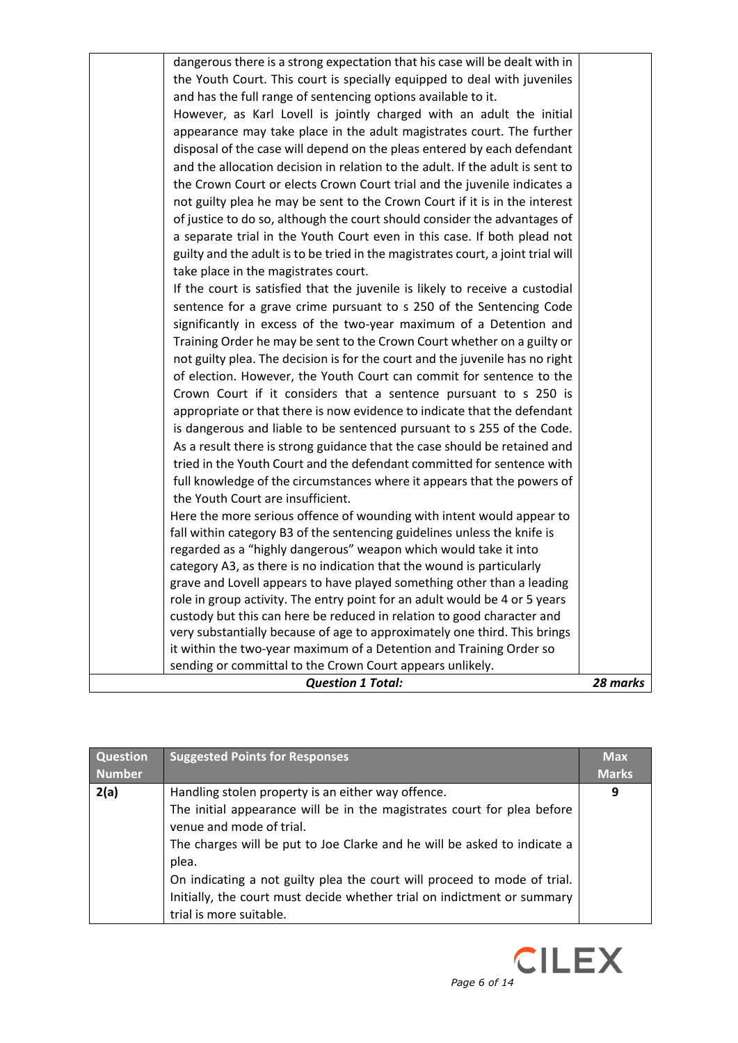| <b>Question 1 Total:</b>                                                         | 28 marks |
|----------------------------------------------------------------------------------|----------|
| sending or committal to the Crown Court appears unlikely.                        |          |
| it within the two-year maximum of a Detention and Training Order so              |          |
| very substantially because of age to approximately one third. This brings        |          |
| custody but this can here be reduced in relation to good character and           |          |
| role in group activity. The entry point for an adult would be 4 or 5 years       |          |
| grave and Lovell appears to have played something other than a leading           |          |
| category A3, as there is no indication that the wound is particularly            |          |
| regarded as a "highly dangerous" weapon which would take it into                 |          |
| fall within category B3 of the sentencing guidelines unless the knife is         |          |
| Here the more serious offence of wounding with intent would appear to            |          |
| the Youth Court are insufficient.                                                |          |
| full knowledge of the circumstances where it appears that the powers of          |          |
| tried in the Youth Court and the defendant committed for sentence with           |          |
| As a result there is strong guidance that the case should be retained and        |          |
| is dangerous and liable to be sentenced pursuant to s 255 of the Code.           |          |
| appropriate or that there is now evidence to indicate that the defendant         |          |
| Crown Court if it considers that a sentence pursuant to s 250 is                 |          |
| of election. However, the Youth Court can commit for sentence to the             |          |
| not guilty plea. The decision is for the court and the juvenile has no right     |          |
| Training Order he may be sent to the Crown Court whether on a guilty or          |          |
| significantly in excess of the two-year maximum of a Detention and               |          |
| sentence for a grave crime pursuant to s 250 of the Sentencing Code              |          |
| If the court is satisfied that the juvenile is likely to receive a custodial     |          |
| take place in the magistrates court.                                             |          |
| guilty and the adult is to be tried in the magistrates court, a joint trial will |          |
| a separate trial in the Youth Court even in this case. If both plead not         |          |
| of justice to do so, although the court should consider the advantages of        |          |
| not guilty plea he may be sent to the Crown Court if it is in the interest       |          |
| the Crown Court or elects Crown Court trial and the juvenile indicates a         |          |
| and the allocation decision in relation to the adult. If the adult is sent to    |          |
| disposal of the case will depend on the pleas entered by each defendant          |          |
| appearance may take place in the adult magistrates court. The further            |          |
| However, as Karl Lovell is jointly charged with an adult the initial             |          |
| and has the full range of sentencing options available to it.                    |          |
| the Youth Court. This court is specially equipped to deal with juveniles         |          |
| dangerous there is a strong expectation that his case will be dealt with in      |          |

| <b>Question</b><br><b>Number</b> | <b>Suggested Points for Responses</b>                                                                                                                                                                                                                                                                                      | <b>Max</b><br><b>Marks</b> |
|----------------------------------|----------------------------------------------------------------------------------------------------------------------------------------------------------------------------------------------------------------------------------------------------------------------------------------------------------------------------|----------------------------|
| 2(a)                             | Handling stolen property is an either way offence.<br>The initial appearance will be in the magistrates court for plea before<br>venue and mode of trial.<br>The charges will be put to Joe Clarke and he will be asked to indicate a<br>plea.<br>On indicating a not guilty plea the court will proceed to mode of trial. | 9                          |
|                                  | Initially, the court must decide whether trial on indictment or summary<br>trial is more suitable.                                                                                                                                                                                                                         |                            |

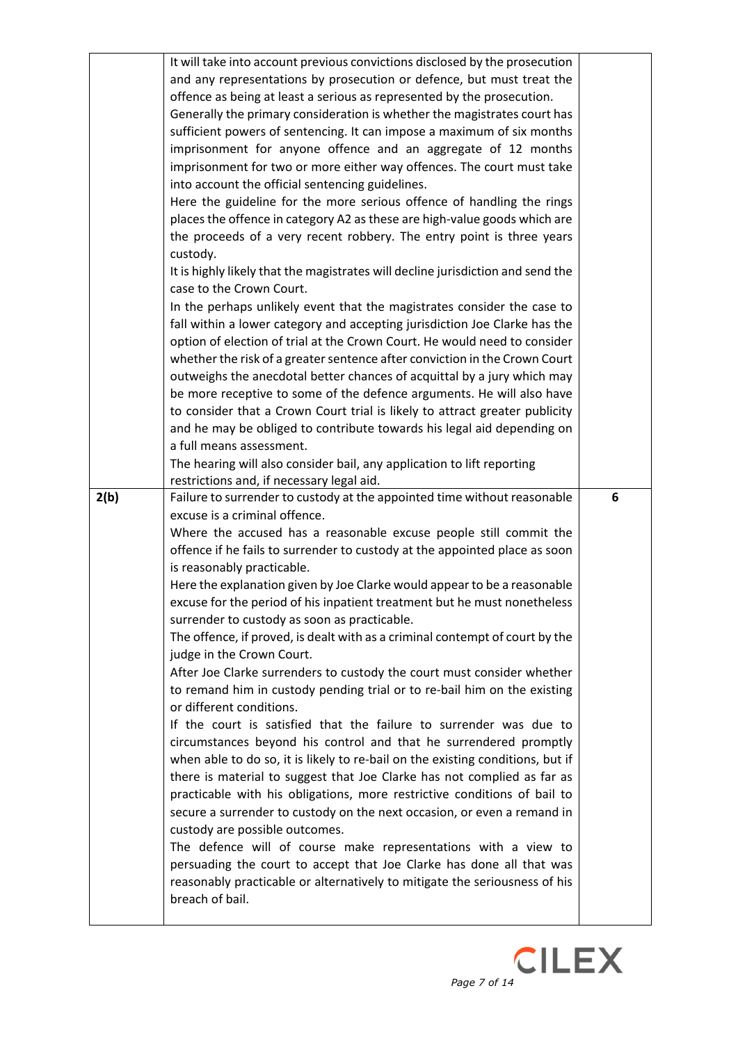|      | It will take into account previous convictions disclosed by the prosecution     |   |
|------|---------------------------------------------------------------------------------|---|
|      | and any representations by prosecution or defence, but must treat the           |   |
|      | offence as being at least a serious as represented by the prosecution.          |   |
|      | Generally the primary consideration is whether the magistrates court has        |   |
|      | sufficient powers of sentencing. It can impose a maximum of six months          |   |
|      | imprisonment for anyone offence and an aggregate of 12 months                   |   |
|      | imprisonment for two or more either way offences. The court must take           |   |
|      | into account the official sentencing guidelines.                                |   |
|      | Here the guideline for the more serious offence of handling the rings           |   |
|      | places the offence in category A2 as these are high-value goods which are       |   |
|      | the proceeds of a very recent robbery. The entry point is three years           |   |
|      | custody.                                                                        |   |
|      | It is highly likely that the magistrates will decline jurisdiction and send the |   |
|      | case to the Crown Court.                                                        |   |
|      |                                                                                 |   |
|      | In the perhaps unlikely event that the magistrates consider the case to         |   |
|      | fall within a lower category and accepting jurisdiction Joe Clarke has the      |   |
|      | option of election of trial at the Crown Court. He would need to consider       |   |
|      | whether the risk of a greater sentence after conviction in the Crown Court      |   |
|      | outweighs the anecdotal better chances of acquittal by a jury which may         |   |
|      | be more receptive to some of the defence arguments. He will also have           |   |
|      | to consider that a Crown Court trial is likely to attract greater publicity     |   |
|      | and he may be obliged to contribute towards his legal aid depending on          |   |
|      | a full means assessment.                                                        |   |
|      | The hearing will also consider bail, any application to lift reporting          |   |
|      | restrictions and, if necessary legal aid.                                       |   |
|      |                                                                                 |   |
| 2(b) | Failure to surrender to custody at the appointed time without reasonable        | 6 |
|      | excuse is a criminal offence.                                                   |   |
|      | Where the accused has a reasonable excuse people still commit the               |   |
|      | offence if he fails to surrender to custody at the appointed place as soon      |   |
|      | is reasonably practicable.                                                      |   |
|      | Here the explanation given by Joe Clarke would appear to be a reasonable        |   |
|      | excuse for the period of his inpatient treatment but he must nonetheless        |   |
|      | surrender to custody as soon as practicable.                                    |   |
|      | The offence, if proved, is dealt with as a criminal contempt of court by the    |   |
|      | judge in the Crown Court.                                                       |   |
|      | After Joe Clarke surrenders to custody the court must consider whether          |   |
|      | to remand him in custody pending trial or to re-bail him on the existing        |   |
|      | or different conditions.                                                        |   |
|      | If the court is satisfied that the failure to surrender was due to              |   |
|      | circumstances beyond his control and that he surrendered promptly               |   |
|      | when able to do so, it is likely to re-bail on the existing conditions, but if  |   |
|      | there is material to suggest that Joe Clarke has not complied as far as         |   |
|      | practicable with his obligations, more restrictive conditions of bail to        |   |
|      | secure a surrender to custody on the next occasion, or even a remand in         |   |
|      | custody are possible outcomes.                                                  |   |
|      | The defence will of course make representations with a view to                  |   |
|      | persuading the court to accept that Joe Clarke has done all that was            |   |
|      | reasonably practicable or alternatively to mitigate the seriousness of his      |   |
|      | breach of bail.                                                                 |   |

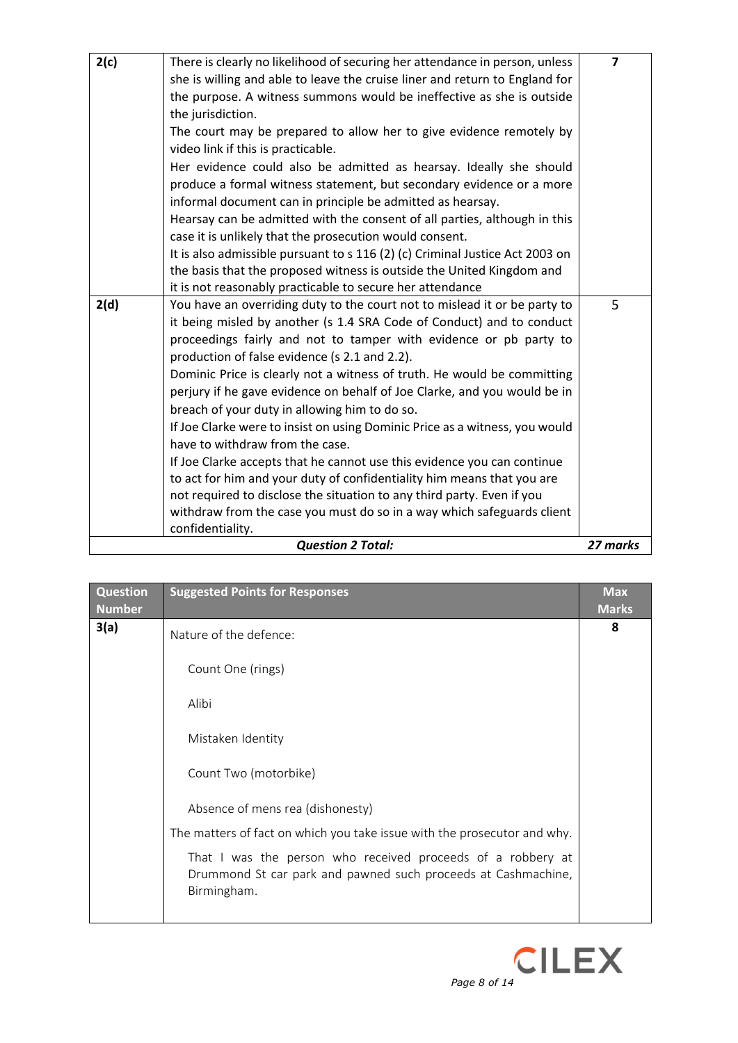| 2(c) | There is clearly no likelihood of securing her attendance in person, unless  | $\overline{\mathbf{z}}$ |
|------|------------------------------------------------------------------------------|-------------------------|
|      | she is willing and able to leave the cruise liner and return to England for  |                         |
|      | the purpose. A witness summons would be ineffective as she is outside        |                         |
|      | the jurisdiction.                                                            |                         |
|      | The court may be prepared to allow her to give evidence remotely by          |                         |
|      | video link if this is practicable.                                           |                         |
|      | Her evidence could also be admitted as hearsay. Ideally she should           |                         |
|      | produce a formal witness statement, but secondary evidence or a more         |                         |
|      | informal document can in principle be admitted as hearsay.                   |                         |
|      | Hearsay can be admitted with the consent of all parties, although in this    |                         |
|      | case it is unlikely that the prosecution would consent.                      |                         |
|      | It is also admissible pursuant to s 116 (2) (c) Criminal Justice Act 2003 on |                         |
|      | the basis that the proposed witness is outside the United Kingdom and        |                         |
|      | it is not reasonably practicable to secure her attendance                    |                         |
| 2(d) | You have an overriding duty to the court not to mislead it or be party to    | 5                       |
|      | it being misled by another (s 1.4 SRA Code of Conduct) and to conduct        |                         |
|      | proceedings fairly and not to tamper with evidence or pb party to            |                         |
|      | production of false evidence (s 2.1 and 2.2).                                |                         |
|      | Dominic Price is clearly not a witness of truth. He would be committing      |                         |
|      | perjury if he gave evidence on behalf of Joe Clarke, and you would be in     |                         |
|      | breach of your duty in allowing him to do so.                                |                         |
|      | If Joe Clarke were to insist on using Dominic Price as a witness, you would  |                         |
|      | have to withdraw from the case.                                              |                         |
|      | If Joe Clarke accepts that he cannot use this evidence you can continue      |                         |
|      | to act for him and your duty of confidentiality him means that you are       |                         |
|      | not required to disclose the situation to any third party. Even if you       |                         |
|      | withdraw from the case you must do so in a way which safeguards client       |                         |
|      | confidentiality.                                                             |                         |
|      | <b>Question 2 Total:</b>                                                     | 27 marks                |

| <b>Question</b><br><b>Number</b> | <b>Suggested Points for Responses</b>                                                                                                       | <b>Max</b><br><b>Marks</b> |
|----------------------------------|---------------------------------------------------------------------------------------------------------------------------------------------|----------------------------|
| 3(a)                             | Nature of the defence:                                                                                                                      | 8                          |
|                                  | Count One (rings)                                                                                                                           |                            |
|                                  | Alibi                                                                                                                                       |                            |
|                                  | Mistaken Identity                                                                                                                           |                            |
|                                  | Count Two (motorbike)                                                                                                                       |                            |
|                                  | Absence of mens rea (dishonesty)                                                                                                            |                            |
|                                  | The matters of fact on which you take issue with the prosecutor and why.                                                                    |                            |
|                                  | That I was the person who received proceeds of a robbery at<br>Drummond St car park and pawned such proceeds at Cashmachine,<br>Birmingham. |                            |
|                                  |                                                                                                                                             |                            |

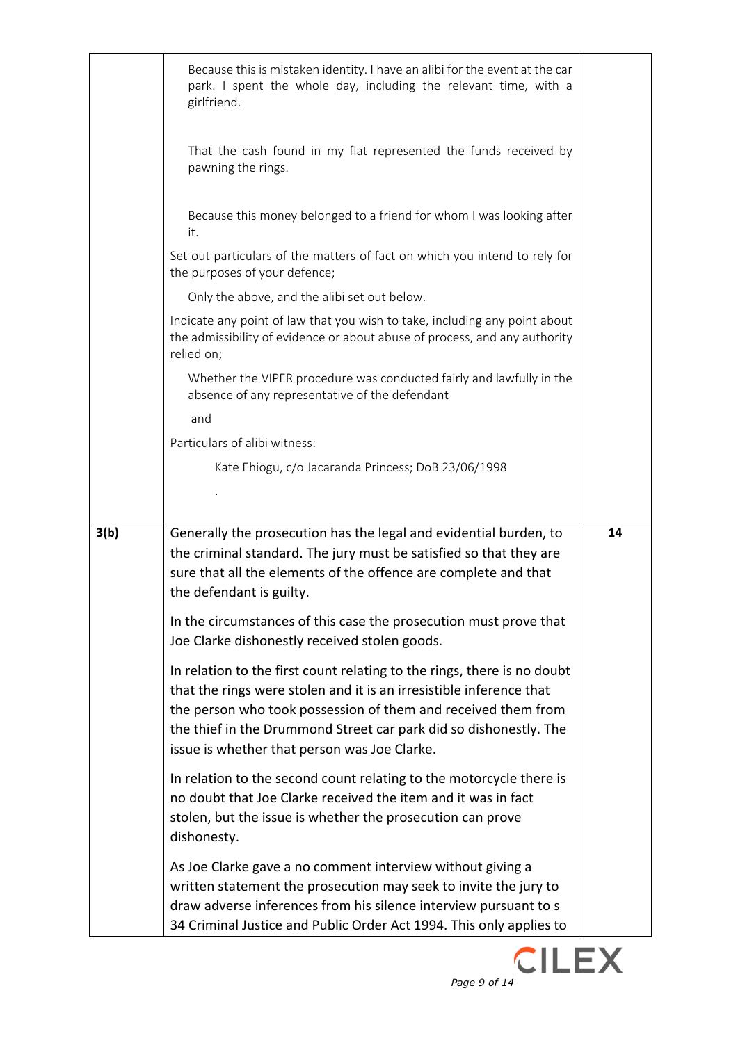|      | Because this is mistaken identity. I have an alibi for the event at the car<br>park. I spent the whole day, including the relevant time, with a<br>girlfriend.<br>That the cash found in my flat represented the funds received by<br>pawning the rings.<br>Because this money belonged to a friend for whom I was looking after<br>it.<br>Set out particulars of the matters of fact on which you intend to rely for<br>the purposes of your defence;<br>Only the above, and the alibi set out below.<br>Indicate any point of law that you wish to take, including any point about<br>the admissibility of evidence or about abuse of process, and any authority<br>relied on;<br>Whether the VIPER procedure was conducted fairly and lawfully in the<br>absence of any representative of the defendant<br>and<br>Particulars of alibi witness: |    |
|------|----------------------------------------------------------------------------------------------------------------------------------------------------------------------------------------------------------------------------------------------------------------------------------------------------------------------------------------------------------------------------------------------------------------------------------------------------------------------------------------------------------------------------------------------------------------------------------------------------------------------------------------------------------------------------------------------------------------------------------------------------------------------------------------------------------------------------------------------------|----|
|      | Kate Ehiogu, c/o Jacaranda Princess; DoB 23/06/1998                                                                                                                                                                                                                                                                                                                                                                                                                                                                                                                                                                                                                                                                                                                                                                                                |    |
|      |                                                                                                                                                                                                                                                                                                                                                                                                                                                                                                                                                                                                                                                                                                                                                                                                                                                    |    |
| 3(b) | Generally the prosecution has the legal and evidential burden, to<br>the criminal standard. The jury must be satisfied so that they are<br>sure that all the elements of the offence are complete and that<br>the defendant is guilty.                                                                                                                                                                                                                                                                                                                                                                                                                                                                                                                                                                                                             | 14 |
|      | In the circumstances of this case the prosecution must prove that<br>Joe Clarke dishonestly received stolen goods.                                                                                                                                                                                                                                                                                                                                                                                                                                                                                                                                                                                                                                                                                                                                 |    |
|      | In relation to the first count relating to the rings, there is no doubt<br>that the rings were stolen and it is an irresistible inference that<br>the person who took possession of them and received them from<br>the thief in the Drummond Street car park did so dishonestly. The<br>issue is whether that person was Joe Clarke.                                                                                                                                                                                                                                                                                                                                                                                                                                                                                                               |    |
|      | In relation to the second count relating to the motorcycle there is<br>no doubt that Joe Clarke received the item and it was in fact<br>stolen, but the issue is whether the prosecution can prove<br>dishonesty.                                                                                                                                                                                                                                                                                                                                                                                                                                                                                                                                                                                                                                  |    |
|      | As Joe Clarke gave a no comment interview without giving a<br>written statement the prosecution may seek to invite the jury to<br>draw adverse inferences from his silence interview pursuant to s<br>34 Criminal Justice and Public Order Act 1994. This only applies to                                                                                                                                                                                                                                                                                                                                                                                                                                                                                                                                                                          |    |

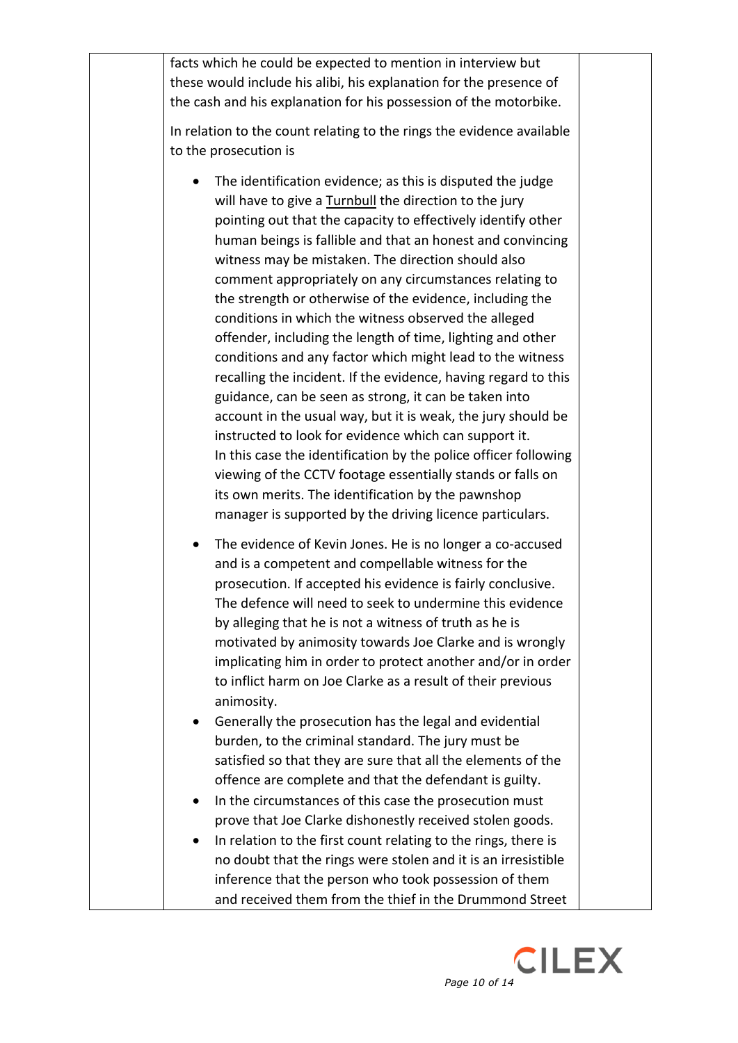facts which he could be expected to mention in interview but these would include his alibi, his explanation for the presence of the cash and his explanation for his possession of the motorbike.

In relation to the count relating to the rings the evidence available to the prosecution is

- The identification evidence; as this is disputed the judge will have to give a Turnbull the direction to the jury pointing out that the capacity to effectively identify other human beings is fallible and that an honest and convincing witness may be mistaken. The direction should also comment appropriately on any circumstances relating to the strength or otherwise of the evidence, including the conditions in which the witness observed the alleged offender, including the length of time, lighting and other conditions and any factor which might lead to the witness recalling the incident. If the evidence, having regard to this guidance, can be seen as strong, it can be taken into account in the usual way, but it is weak, the jury should be instructed to look for evidence which can support it. In this case the identification by the police officer following viewing of the CCTV footage essentially stands or falls on its own merits. The identification by the pawnshop manager is supported by the driving licence particulars.
- The evidence of Kevin Jones. He is no longer a co-accused and is a competent and compellable witness for the prosecution. If accepted his evidence is fairly conclusive. The defence will need to seek to undermine this evidence by alleging that he is not a witness of truth as he is motivated by animosity towards Joe Clarke and is wrongly implicating him in order to protect another and/or in order to inflict harm on Joe Clarke as a result of their previous animosity.
- Generally the prosecution has the legal and evidential burden, to the criminal standard. The jury must be satisfied so that they are sure that all the elements of the offence are complete and that the defendant is guilty.
- In the circumstances of this case the prosecution must prove that Joe Clarke dishonestly received stolen goods.
- In relation to the first count relating to the rings, there is no doubt that the rings were stolen and it is an irresistible inference that the person who took possession of them and received them from the thief in the Drummond Street

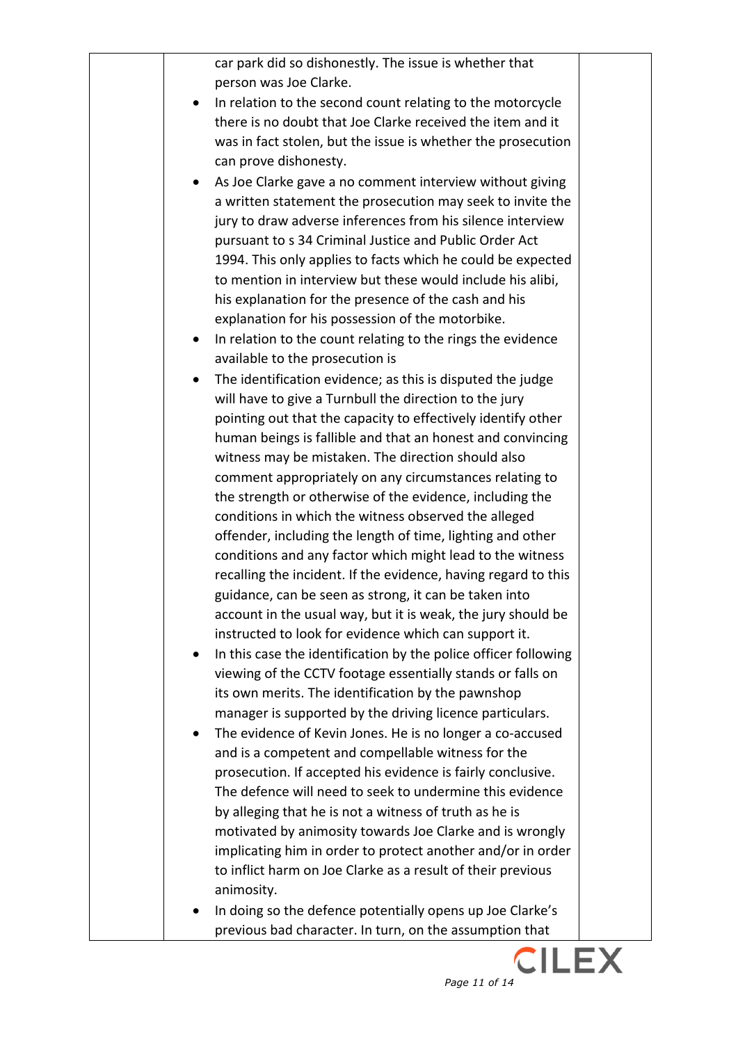car park did so dishonestly. The issue is whether that person was Joe Clarke. • In relation to the second count relating to the motorcycle there is no doubt that Joe Clarke received the item and it was in fact stolen, but the issue is whether the prosecution can prove dishonesty. • As Joe Clarke gave a no comment interview without giving a written statement the prosecution may seek to invite the jury to draw adverse inferences from his silence interview pursuant to s 34 Criminal Justice and Public Order Act 1994. This only applies to facts which he could be expected to mention in interview but these would include his alibi, his explanation for the presence of the cash and his explanation for his possession of the motorbike. • In relation to the count relating to the rings the evidence available to the prosecution is • The identification evidence; as this is disputed the judge will have to give a Turnbull the direction to the jury pointing out that the capacity to effectively identify other human beings is fallible and that an honest and convincing witness may be mistaken. The direction should also comment appropriately on any circumstances relating to the strength or otherwise of the evidence, including the conditions in which the witness observed the alleged offender, including the length of time, lighting and other conditions and any factor which might lead to the witness recalling the incident. If the evidence, having regard to this guidance, can be seen as strong, it can be taken into account in the usual way, but it is weak, the jury should be instructed to look for evidence which can support it. In this case the identification by the police officer following viewing of the CCTV footage essentially stands or falls on its own merits. The identification by the pawnshop manager is supported by the driving licence particulars. The evidence of Kevin Jones. He is no longer a co-accused and is a competent and compellable witness for the prosecution. If accepted his evidence is fairly conclusive. The defence will need to seek to undermine this evidence by alleging that he is not a witness of truth as he is motivated by animosity towards Joe Clarke and is wrongly implicating him in order to protect another and/or in order to inflict harm on Joe Clarke as a result of their previous animosity. • In doing so the defence potentially opens up Joe Clarke's previous bad character. In turn, on the assumption that

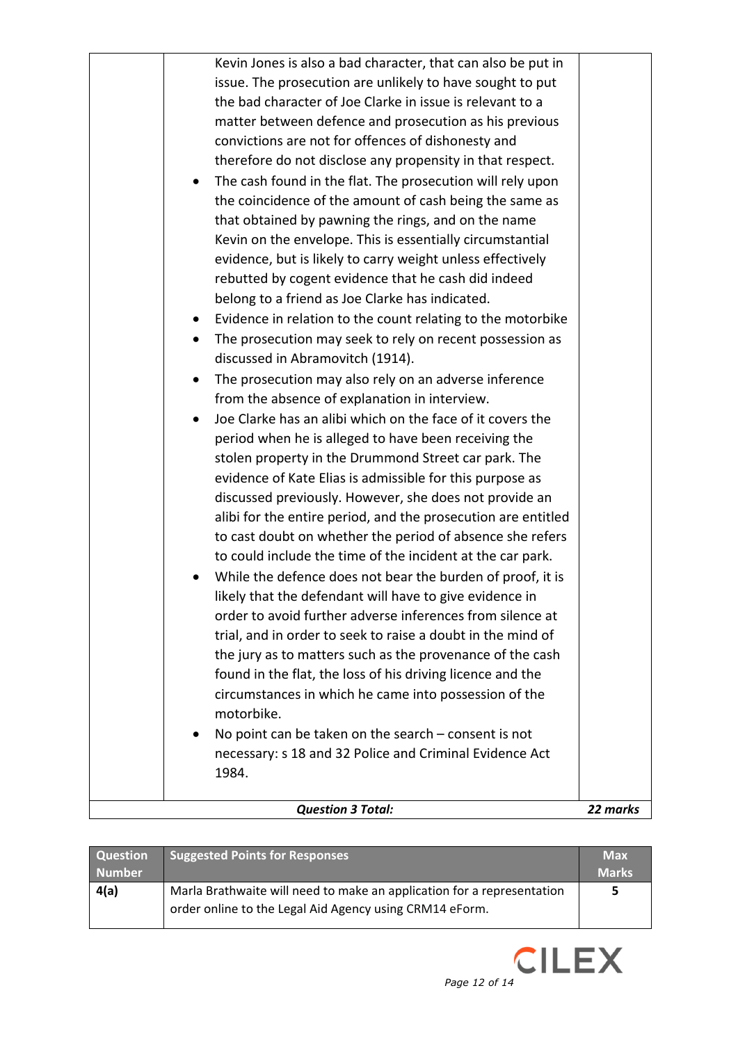| <b>Question 3 Total:</b>                                                                                                                                                                                                                                                                                                                                                                                                                                                                                                                                                                                                                                                                                                                                                                | 22 marks |
|-----------------------------------------------------------------------------------------------------------------------------------------------------------------------------------------------------------------------------------------------------------------------------------------------------------------------------------------------------------------------------------------------------------------------------------------------------------------------------------------------------------------------------------------------------------------------------------------------------------------------------------------------------------------------------------------------------------------------------------------------------------------------------------------|----------|
| No point can be taken on the search $-$ consent is not<br>necessary: s 18 and 32 Police and Criminal Evidence Act<br>1984.                                                                                                                                                                                                                                                                                                                                                                                                                                                                                                                                                                                                                                                              |          |
| order to avoid further adverse inferences from silence at<br>trial, and in order to seek to raise a doubt in the mind of<br>the jury as to matters such as the provenance of the cash<br>found in the flat, the loss of his driving licence and the<br>circumstances in which he came into possession of the<br>motorbike.                                                                                                                                                                                                                                                                                                                                                                                                                                                              |          |
| discussed previously. However, she does not provide an<br>alibi for the entire period, and the prosecution are entitled<br>to cast doubt on whether the period of absence she refers<br>to could include the time of the incident at the car park.<br>While the defence does not bear the burden of proof, it is<br>likely that the defendant will have to give evidence in                                                                                                                                                                                                                                                                                                                                                                                                             |          |
| from the absence of explanation in interview.<br>Joe Clarke has an alibi which on the face of it covers the<br>period when he is alleged to have been receiving the<br>stolen property in the Drummond Street car park. The<br>evidence of Kate Elias is admissible for this purpose as                                                                                                                                                                                                                                                                                                                                                                                                                                                                                                 |          |
| The prosecution may seek to rely on recent possession as<br>discussed in Abramovitch (1914).<br>The prosecution may also rely on an adverse inference                                                                                                                                                                                                                                                                                                                                                                                                                                                                                                                                                                                                                                   |          |
| issue. The prosecution are unlikely to have sought to put<br>the bad character of Joe Clarke in issue is relevant to a<br>matter between defence and prosecution as his previous<br>convictions are not for offences of dishonesty and<br>therefore do not disclose any propensity in that respect.<br>The cash found in the flat. The prosecution will rely upon<br>the coincidence of the amount of cash being the same as<br>that obtained by pawning the rings, and on the name<br>Kevin on the envelope. This is essentially circumstantial<br>evidence, but is likely to carry weight unless effectively<br>rebutted by cogent evidence that he cash did indeed<br>belong to a friend as Joe Clarke has indicated.<br>Evidence in relation to the count relating to the motorbike |          |
| Kevin Jones is also a bad character, that can also be put in                                                                                                                                                                                                                                                                                                                                                                                                                                                                                                                                                                                                                                                                                                                            |          |

| <b>Question</b><br><b>Number</b> | <b>Suggested Points for Responses</b>                                                                                             | <b>Max</b><br><b>Marks</b> |
|----------------------------------|-----------------------------------------------------------------------------------------------------------------------------------|----------------------------|
| 4(a)                             | Marla Brathwaite will need to make an application for a representation<br>order online to the Legal Aid Agency using CRM14 eForm. | 5                          |

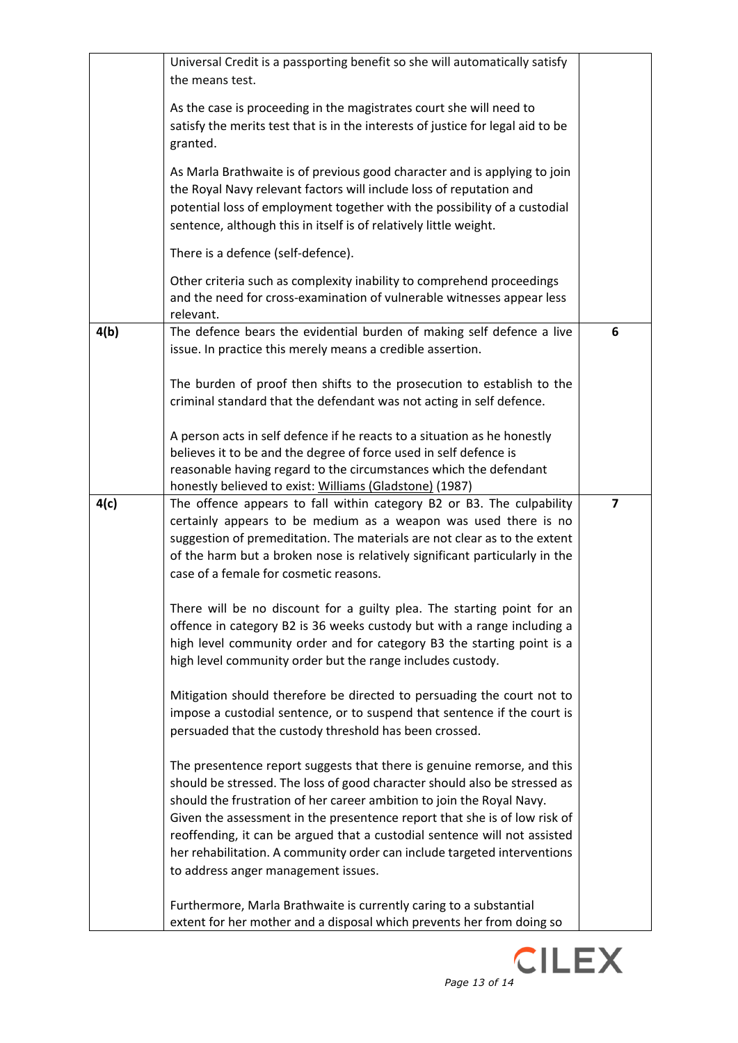|      | Universal Credit is a passporting benefit so she will automatically satisfy                                                                                                                                                                                                                                                                                                                                                                                                                                |                         |
|------|------------------------------------------------------------------------------------------------------------------------------------------------------------------------------------------------------------------------------------------------------------------------------------------------------------------------------------------------------------------------------------------------------------------------------------------------------------------------------------------------------------|-------------------------|
|      | the means test.                                                                                                                                                                                                                                                                                                                                                                                                                                                                                            |                         |
|      | As the case is proceeding in the magistrates court she will need to<br>satisfy the merits test that is in the interests of justice for legal aid to be<br>granted.                                                                                                                                                                                                                                                                                                                                         |                         |
|      | As Marla Brathwaite is of previous good character and is applying to join<br>the Royal Navy relevant factors will include loss of reputation and<br>potential loss of employment together with the possibility of a custodial<br>sentence, although this in itself is of relatively little weight.                                                                                                                                                                                                         |                         |
|      | There is a defence (self-defence).                                                                                                                                                                                                                                                                                                                                                                                                                                                                         |                         |
|      | Other criteria such as complexity inability to comprehend proceedings<br>and the need for cross-examination of vulnerable witnesses appear less<br>relevant.                                                                                                                                                                                                                                                                                                                                               |                         |
| 4(b) | The defence bears the evidential burden of making self defence a live<br>issue. In practice this merely means a credible assertion.                                                                                                                                                                                                                                                                                                                                                                        | 6                       |
|      | The burden of proof then shifts to the prosecution to establish to the<br>criminal standard that the defendant was not acting in self defence.                                                                                                                                                                                                                                                                                                                                                             |                         |
|      | A person acts in self defence if he reacts to a situation as he honestly<br>believes it to be and the degree of force used in self defence is<br>reasonable having regard to the circumstances which the defendant<br>honestly believed to exist: Williams (Gladstone) (1987)                                                                                                                                                                                                                              |                         |
| 4(c) | The offence appears to fall within category B2 or B3. The culpability<br>certainly appears to be medium as a weapon was used there is no<br>suggestion of premeditation. The materials are not clear as to the extent<br>of the harm but a broken nose is relatively significant particularly in the<br>case of a female for cosmetic reasons.<br>There will be no discount for a guilty plea. The starting point for an                                                                                   | $\overline{\mathbf{z}}$ |
|      | offence in category B2 is 36 weeks custody but with a range including a<br>high level community order and for category B3 the starting point is a<br>high level community order but the range includes custody.                                                                                                                                                                                                                                                                                            |                         |
|      | Mitigation should therefore be directed to persuading the court not to<br>impose a custodial sentence, or to suspend that sentence if the court is<br>persuaded that the custody threshold has been crossed.                                                                                                                                                                                                                                                                                               |                         |
|      | The presentence report suggests that there is genuine remorse, and this<br>should be stressed. The loss of good character should also be stressed as<br>should the frustration of her career ambition to join the Royal Navy.<br>Given the assessment in the presentence report that she is of low risk of<br>reoffending, it can be argued that a custodial sentence will not assisted<br>her rehabilitation. A community order can include targeted interventions<br>to address anger management issues. |                         |
|      | Furthermore, Marla Brathwaite is currently caring to a substantial<br>extent for her mother and a disposal which prevents her from doing so                                                                                                                                                                                                                                                                                                                                                                |                         |